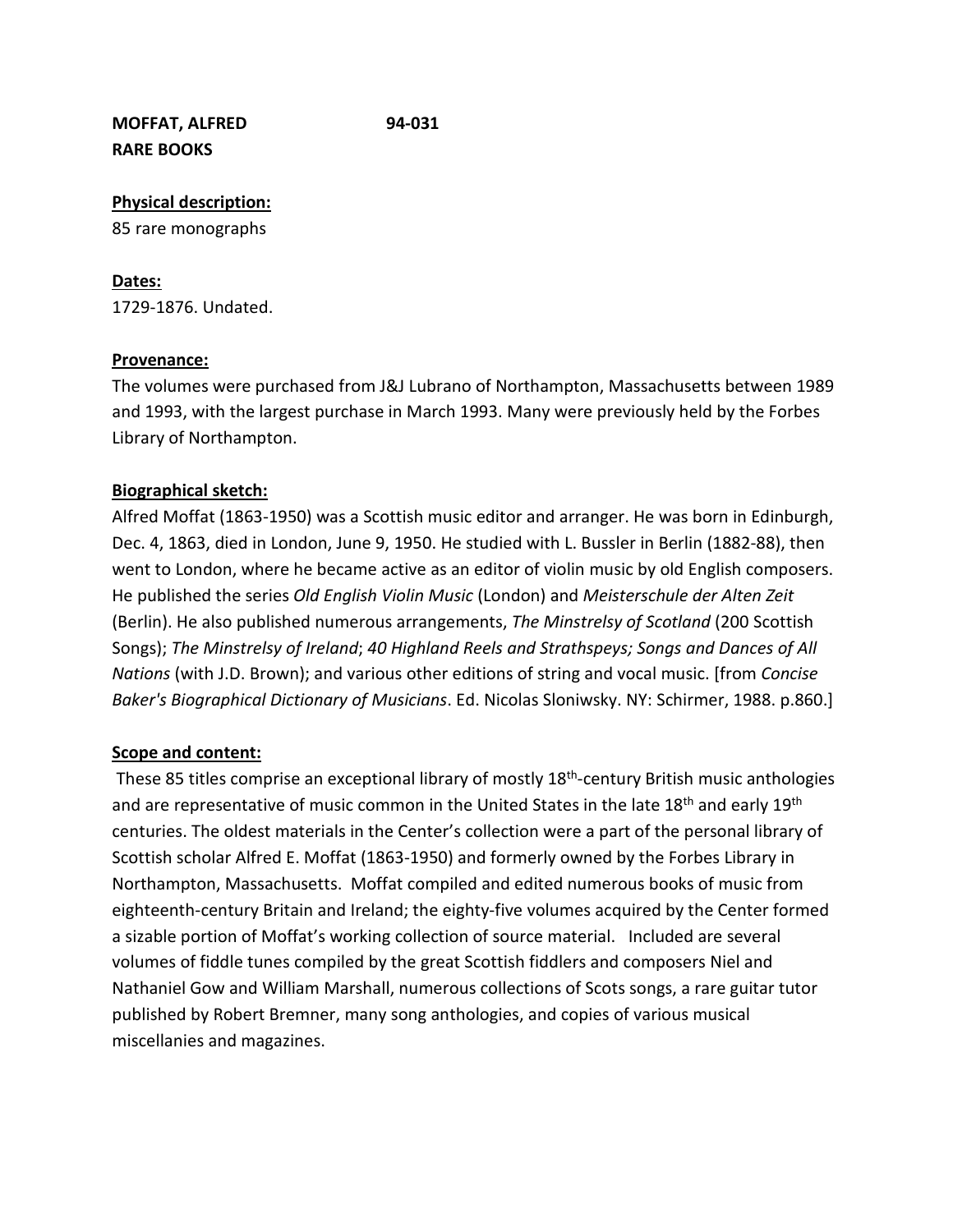**MOFFAT, ALFRED 94-031 RARE BOOKS**

## **Physical description:**

85 rare monographs

### **Dates:**

1729-1876. Undated.

#### **Provenance:**

The volumes were purchased from J&J Lubrano of Northampton, Massachusetts between 1989 and 1993, with the largest purchase in March 1993. Many were previously held by the Forbes Library of Northampton.

### **Biographical sketch:**

Alfred Moffat (1863-1950) was a Scottish music editor and arranger. He was born in Edinburgh, Dec. 4, 1863, died in London, June 9, 1950. He studied with L. Bussler in Berlin (1882-88), then went to London, where he became active as an editor of violin music by old English composers. He published the series *Old English Violin Music* (London) and *Meisterschule der Alten Zeit* (Berlin). He also published numerous arrangements, *The Minstrelsy of Scotland* (200 Scottish Songs); *The Minstrelsy of Ireland*; *40 Highland Reels and Strathspeys; Songs and Dances of All Nations* (with J.D. Brown); and various other editions of string and vocal music. [from *Concise Baker's Biographical Dictionary of Musicians*. Ed. Nicolas Sloniwsky. NY: Schirmer, 1988. p.860.]

#### **Scope and content:**

These 85 titles comprise an exceptional library of mostly 18<sup>th</sup>-century British music anthologies and are representative of music common in the United States in the late 18<sup>th</sup> and early 19<sup>th</sup> centuries. The oldest materials in the Center's collection were a part of the personal library of Scottish scholar Alfred E. Moffat (1863-1950) and formerly owned by the Forbes Library in Northampton, Massachusetts. Moffat compiled and edited numerous books of music from eighteenth-century Britain and Ireland; the eighty-five volumes acquired by the Center formed a sizable portion of Moffat's working collection of source material. Included are several volumes of fiddle tunes compiled by the great Scottish fiddlers and composers Niel and Nathaniel Gow and William Marshall, numerous collections of Scots songs, a rare guitar tutor published by Robert Bremner, many song anthologies, and copies of various musical miscellanies and magazines.